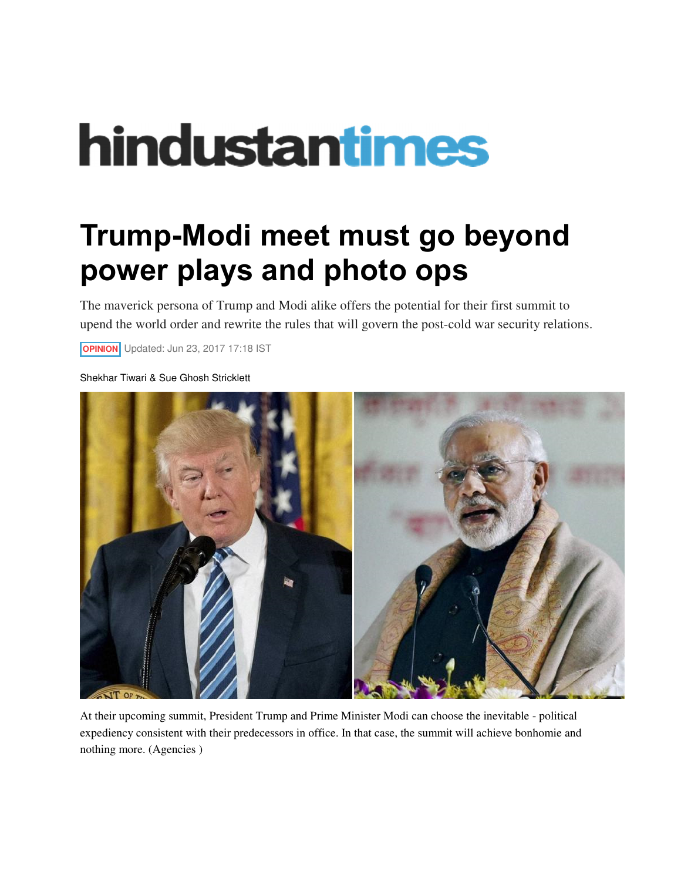## hindustantimes

## **Trump-Modi meet must go beyond power plays and photo ops**

The maverick persona of Trump and Modi alike offers the potential for their first summit to upend the world order and rewrite the rules that will govern the post-cold war security relations.

**OPINION** Updated: Jun 23, 2017 17:18 IST

Shekhar Tiwari & Sue Ghosh Stricklett



At their upcoming summit, President Trump and Prime Minister Modi can choose the inevitable - political expediency consistent with their predecessors in office. In that case, the summit will achieve bonhomie and nothing more. (Agencies )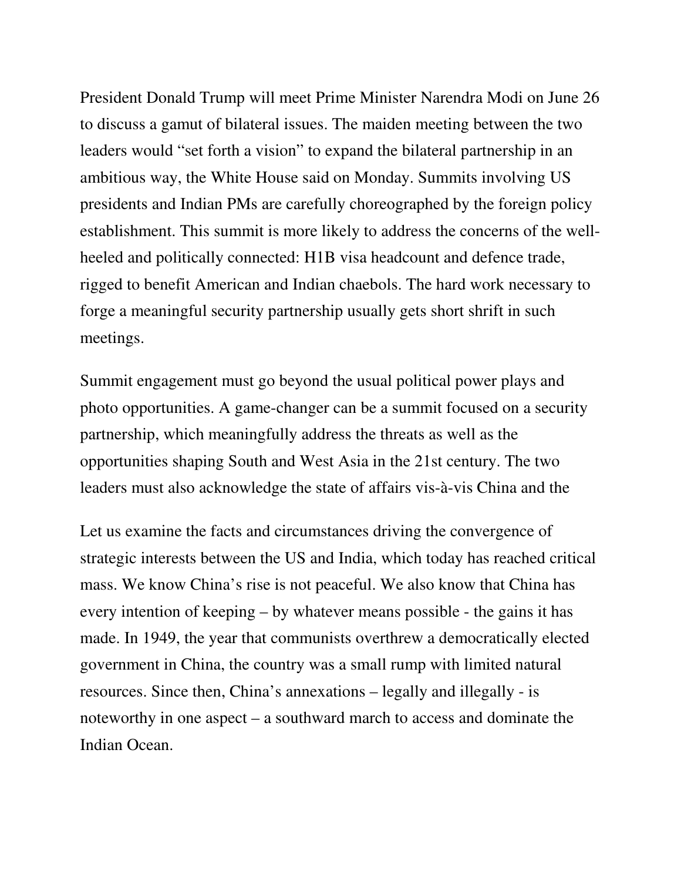President Donald Trump will meet Prime Minister Narendra Modi on June 26 to discuss a gamut of bilateral issues. The maiden meeting between the two leaders would "set forth a vision" to expand the bilateral partnership in an ambitious way, the White House said on Monday. Summits involving US presidents and Indian PMs are carefully choreographed by the foreign policy establishment. This summit is more likely to address the concerns of the wellheeled and politically connected: H1B visa headcount and defence trade, rigged to benefit American and Indian chaebols. The hard work necessary to forge a meaningful security partnership usually gets short shrift in such meetings.

Summit engagement must go beyond the usual political power plays and photo opportunities. A game-changer can be a summit focused on a security partnership, which meaningfully address the threats as well as the opportunities shaping South and West Asia in the 21st century. The two leaders must also acknowledge the state of affairs vis-à-vis China and the

Let us examine the facts and circumstances driving the convergence of strategic interests between the US and India, which today has reached critical mass. We know China's rise is not peaceful. We also know that China has every intention of keeping – by whatever means possible - the gains it has made. In 1949, the year that communists overthrew a democratically elected government in China, the country was a small rump with limited natural resources. Since then, China's annexations – legally and illegally - is noteworthy in one aspect – a southward march to access and dominate the Indian Ocean.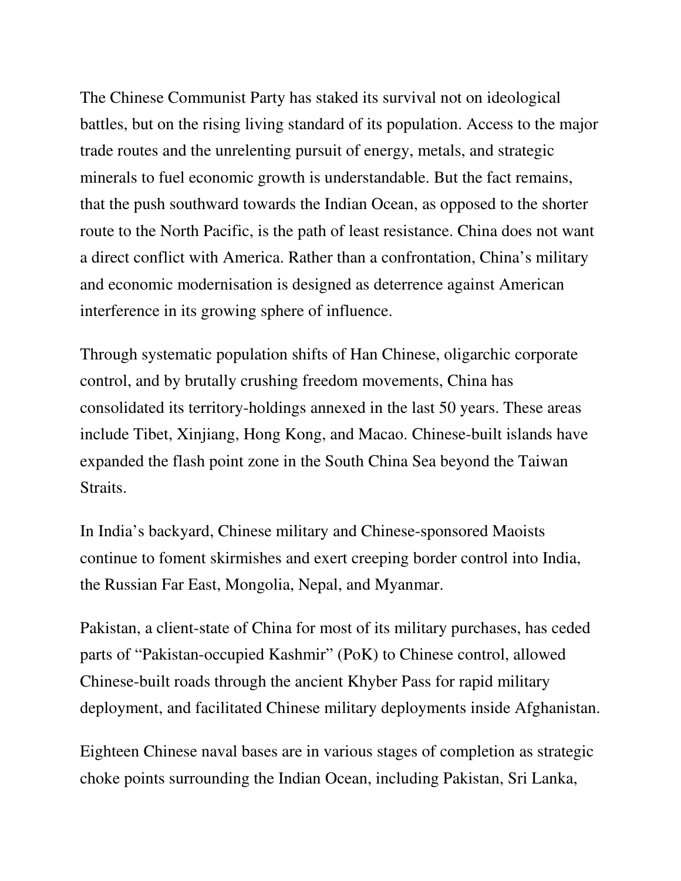The Chinese Communist Party has staked its survival not on ideological battles, but on the rising living standard of its population. Access to the major trade routes and the unrelenting pursuit of energy, metals, and strategic minerals to fuel economic growth is understandable. But the fact remains, that the push southward towards the Indian Ocean, as opposed to the shorter route to the North Pacific, is the path of least resistance. China does not want a direct conflict with America. Rather than a confrontation, China's military and economic modernisation is designed as deterrence against American interference in its growing sphere of influence.

Through systematic population shifts of Han Chinese, oligarchic corporate control, and by brutally crushing freedom movements, China has consolidated its territory-holdings annexed in the last 50 years. These areas include Tibet, Xinjiang, Hong Kong, and Macao. Chinese-built islands have expanded the flash point zone in the South China Sea beyond the Taiwan Straits.

In India's backyard, Chinese military and Chinese-sponsored Maoists continue to foment skirmishes and exert creeping border control into India, the Russian Far East, Mongolia, Nepal, and Myanmar.

Pakistan, a client-state of China for most of its military purchases, has ceded parts of "Pakistan-occupied Kashmir" (PoK) to Chinese control, allowed Chinese-built roads through the ancient Khyber Pass for rapid military deployment, and facilitated Chinese military deployments inside Afghanistan.

Eighteen Chinese naval bases are in various stages of completion as strategic choke points surrounding the Indian Ocean, including Pakistan, Sri Lanka,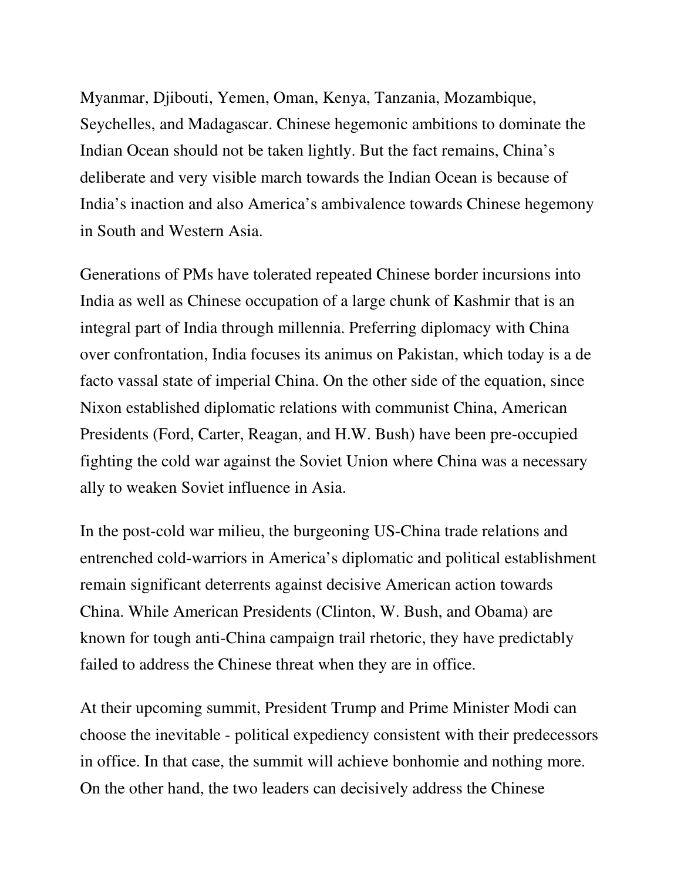Myanmar, Djibouti, Yemen, Oman, Kenya, Tanzania, Mozambique, Seychelles, and Madagascar. Chinese hegemonic ambitions to dominate the Indian Ocean should not be taken lightly. But the fact remains, China's deliberate and very visible march towards the Indian Ocean is because of India's inaction and also America's ambivalence towards Chinese hegemony in South and Western Asia.

Generations of PMs have tolerated repeated Chinese border incursions into India as well as Chinese occupation of a large chunk of Kashmir that is an integral part of India through millennia. Preferring diplomacy with China over confrontation, India focuses its animus on Pakistan, which today is a de facto vassal state of imperial China. On the other side of the equation, since Nixon established diplomatic relations with communist China, American Presidents (Ford, Carter, Reagan, and H.W. Bush) have been pre-occupied fighting the cold war against the Soviet Union where China was a necessary ally to weaken Soviet influence in Asia.

In the post-cold war milieu, the burgeoning US-China trade relations and entrenched cold-warriors in America's diplomatic and political establishment remain significant deterrents against decisive American action towards China. While American Presidents (Clinton, W. Bush, and Obama) are known for tough anti-China campaign trail rhetoric, they have predictably failed to address the Chinese threat when they are in office.

At their upcoming summit, President Trump and Prime Minister Modi can choose the inevitable - political expediency consistent with their predecessors in office. In that case, the summit will achieve bonhomie and nothing more. On the other hand, the two leaders can decisively address the Chinese